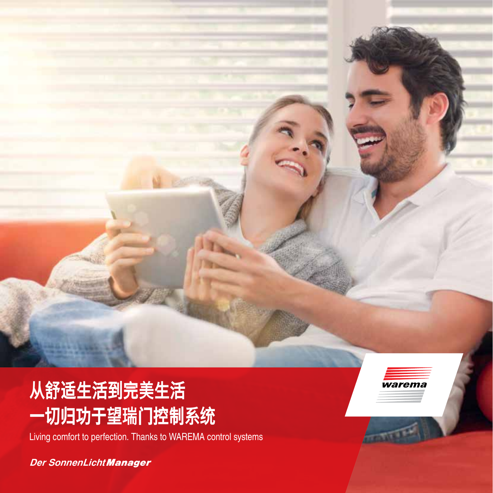# **从舒适生活到完美生活 一切归功于望瑞门控制系统**

Living comfort to perfection. Thanks to WAREMA control systems

*Der SonnenLicht Manager*

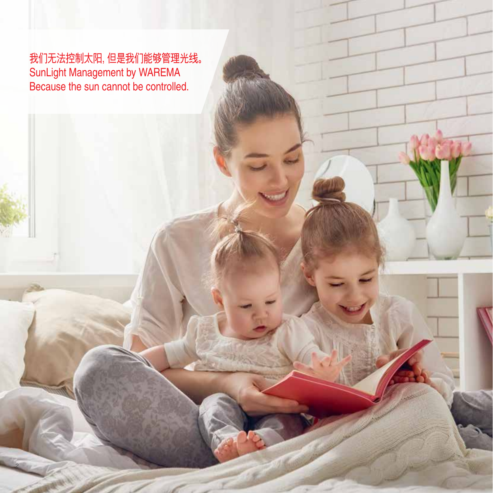我们无法控制太阳,但是我们能够管理光线。 SunLight Management by WAREMA Because the sun cannot be controlled.

2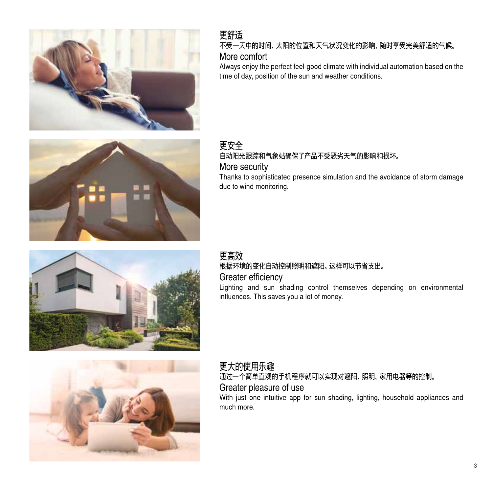

### 更舒适 不受一天中的时间、太阳的位置和天气状况变化的影响,随时享受完美舒适的气候。 More comfort

Always enjoy the perfect feel-good climate with individual automation based on the time of day, position of the sun and weather conditions.

### 更安全 自动阳光跟踪和气象站确保了产品不受恶劣天气的影响和损坏。 More security

Thanks to sophisticated presence simulation and the avoidance of storm damage due to wind monitoring.

# 更高效 根据环境的变化自动控制照明和遮阳。这样可以节省支出。

#### Greater efficiency

Lighting and sun shading control themselves depending on environmental influences. This saves you a lot of money.



# 更大的使用乐趣 通过一个简单直观的手机程序就可以实现对遮阳、照明、家用电器等的控制。

# Greater pleasure of use

With just one intuitive app for sun shading, lighting, household appliances and much more.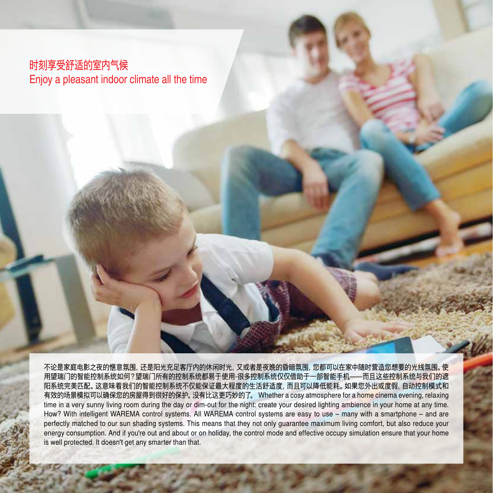# 时刻享受舒适的室内气候 Enjoy a pleasant indoor climate all the time

4

不论是家庭电影之夜的惬意氛围,还是阳光充足客厅内的休闲时光,又或者是夜晚的昏暗氛围,您都可以在家中随时营造您想要的光线氛围。使 用望瑞门的智能控制系统如何?望瑞门所有的控制系统都易于使用-很多控制系统仅仅借助于一部智能手机—而且这些控制系统与我们的遮 阳系统完美匹配。这意味着我们的智能控制系统不仅能保证最大程度的生活舒适度,而且可以降低能耗。如果您外出或度假,自动控制模式和 有效的场景模拟可以确保您的房屋得到很好的保护。没有比这更巧妙的了。 Whether a cosy atmosphere for a home cinema evening, relaxing time in a very sunny living room during the day or dim-out for the night: create your desired lighting ambience in your home at any time. How? With intelligent WAREMA control systems. All WAREMA control systems are easy to use – many with a smartphone – and are perfectly matched to our sun shading systems. This means that they not only guarantee maximum living comfort, but also reduce your energy consumption. And if you're out and about or on holiday, the control mode and effective occupy simulation ensure that your home is well protected. It doesn't get any smarter than that.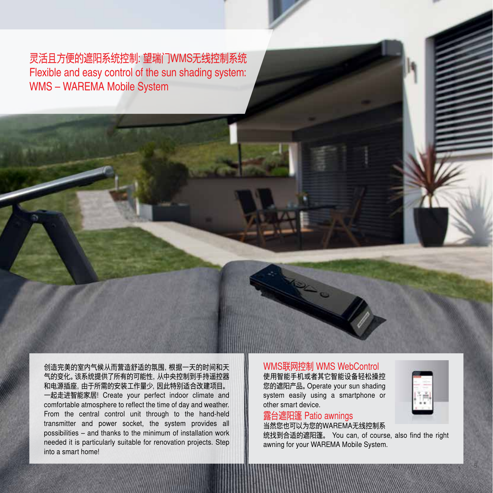灵活且方便的遮阳系统控制: 望瑞门WMS无线控制系统 Flexible and easy control of the sun shading system: WMS – WAREMA Mobile System

创造完美的室内气候从而营造舒适的氛围,根据一天的时间和天 气的变化。该系统提供了所有的可能性,从中央控制到手持遥控器 和电源插座,由于所需的安装工作量少,因此特别适合改建项目。 一起走进智能家居! Create your perfect indoor climate and comfortable atmosphere to reflect the time of day and weather. From the central control unit through to the hand-held transmitter and power socket, the system provides all possibilities – and thanks to the minimum of installation work needed it is particularly suitable for renovation projects. Step into a smart home!

# WMS联网控制 WMS WebControl

使用智能手机或者其它智能设备轻松操控 您的遮阳产品。Operate your sun shading system easily using a smartphone or other smart device.

#### 露台遮阳篷 Patio awnings 当然您也可以为您的WAREMA无线控制系

统找到合适的遮阳篷。 You can, of course, also find the right awning for your WAREMA Mobile System.

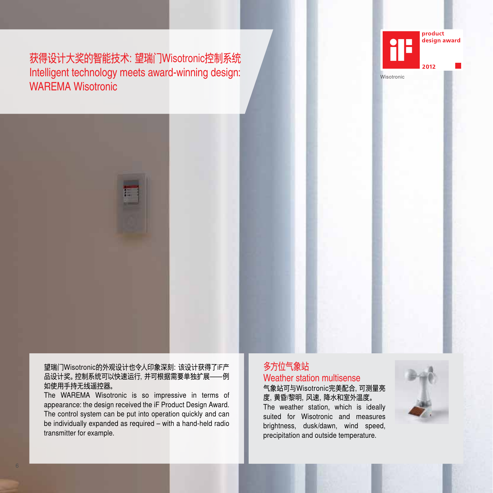获得设计大奖的智能技术:望瑞门Wisotronic控制系统 Intelligent technology meets award-winning design: WAREMA Wisotronic





#### 望瑞门Wisotronic的外观设计也令人印象深刻:该设计获得了iF产 品设计奖。控制系统可以快速运行,并可根据需要单独扩展——例 如使用手持无线遥控器。

The WAREMA Wisotronic is so impressive in terms of appearance: the design received the iF Product Design Award. The control system can be put into operation quickly and can be individually expanded as required – with a hand-held radio transmitter for example.

# 多方位气象站 Weather station multisense

气象站可与Wisotronic完美配合,可测量亮 度,黄昏/黎明,风速,降水和室外温度。 The weather station, which is ideally suited for Wisotronic and measures brightness, dusk/dawn, wind speed, precipitation and outside temperature.

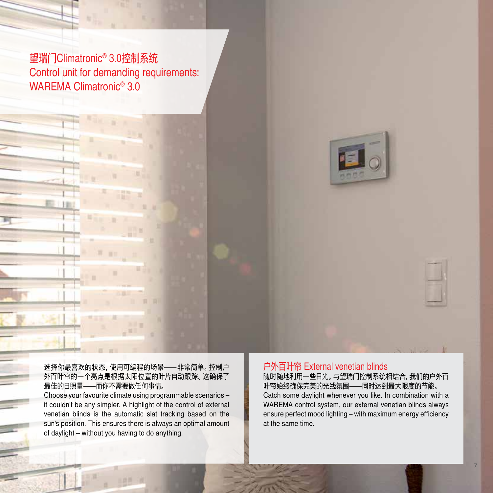望瑞门Climatronic® 3.0控制系统 Control unit for demanding requirements: WAREMA Climatronic® 3.0



#### 选择你最喜欢的状态,使用可编程的场景—非常简单。控制户 外百叶帘的一个亮点是根据太阳位置的叶片自动跟踪。这确保了 最佳的日照量—而你不需要做任何事情。

Choose your favourite climate using programmable scenarios – it couldn't be any simpler. A highlight of the control of external venetian blinds is the automatic slat tracking based on the sun's position. This ensures there is always an optimal amount of daylight – without you having to do anything.

## 户外百叶帘 External venetian blinds

随时随地利用一些日光。与望瑞门控制系统相结合,我们的户外百 叶帘始终确保完美的光线氛围—同时达到最大限度的节能。 Catch some daylight whenever you like. In combination with a WAREMA control system, our external venetian blinds always ensure perfect mood lighting – with maximum energy efficiency at the same time.

7